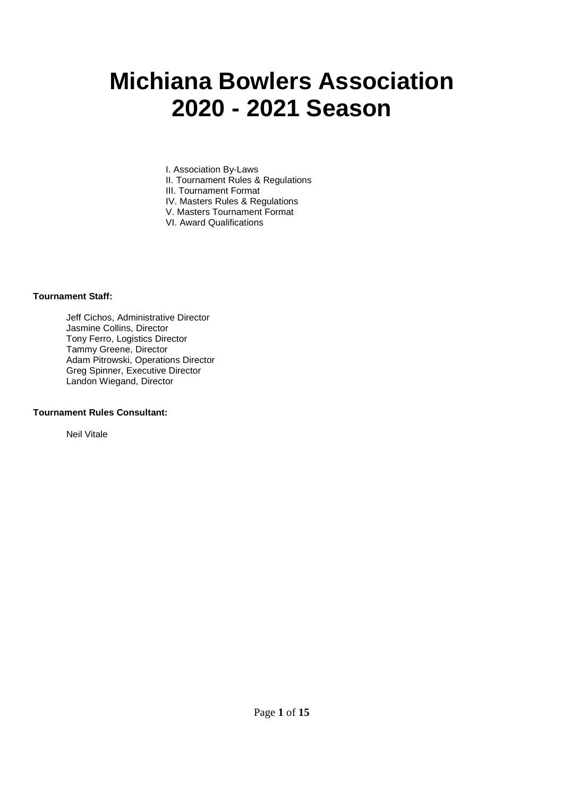# **Michiana Bowlers Association 2020 - 2021 Season**

I. Association By-Laws II. Tournament Rules & Regulations III. Tournament Format IV. Masters Rules & Regulations V. Masters Tournament Format

VI. Award Qualifications

#### **Tournament Staff:**

 Jeff Cichos, Administrative Director Jasmine Collins, Director Tony Ferro, Logistics Director Tammy Greene, Director Adam Pitrowski, Operations Director Greg Spinner, Executive Director Landon Wiegand, Director

#### **Tournament Rules Consultant:**

Neil Vitale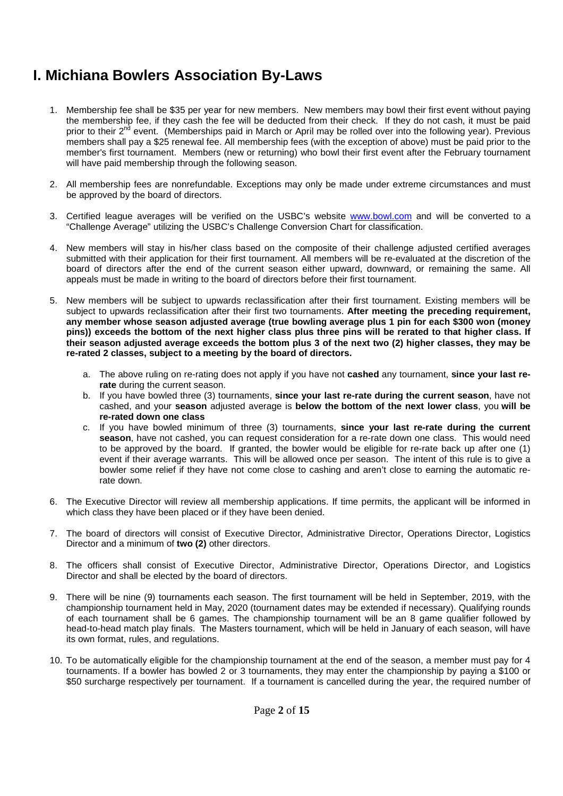### **I. Michiana Bowlers Association By-Laws**

- 1. Membership fee shall be \$35 per year for new members. New members may bowl their first event without paying the membership fee, if they cash the fee will be deducted from their check. If they do not cash, it must be paid prior to their 2<sup>nd</sup> event. (Memberships paid in March or April may be rolled over into the following year). Previous members shall pay a \$25 renewal fee. All membership fees (with the exception of above) must be paid prior to the member's first tournament. Members (new or returning) who bowl their first event after the February tournament will have paid membership through the following season.
- 2. All membership fees are nonrefundable. Exceptions may only be made under extreme circumstances and must be approved by the board of directors.
- 3. Certified league averages will be verified on the USBC's website www.bowl.com and will be converted to a "Challenge Average" utilizing the USBC's Challenge Conversion Chart for classification.
- 4. New members will stay in his/her class based on the composite of their challenge adjusted certified averages submitted with their application for their first tournament. All members will be re-evaluated at the discretion of the board of directors after the end of the current season either upward, downward, or remaining the same. All appeals must be made in writing to the board of directors before their first tournament.
- 5. New members will be subject to upwards reclassification after their first tournament. Existing members will be subject to upwards reclassification after their first two tournaments. **After meeting the preceding requirement, any member whose season adjusted average (true bowling average plus 1 pin for each \$300 won (money pins)) exceeds the bottom of the next higher class plus three pins will be rerated to that higher class. If their season adjusted average exceeds the bottom plus 3 of the next two (2) higher classes, they may be re-rated 2 classes, subject to a meeting by the board of directors.** 
	- a. The above ruling on re-rating does not apply if you have not **cashed** any tournament, **since your last rerate** during the current season.
	- b. If you have bowled three (3) tournaments, **since your last re-rate during the current season**, have not cashed, and your **season** adjusted average is **below the bottom of the next lower class**, you **will be re-rated down one class**
	- c. If you have bowled minimum of three (3) tournaments, **since your last re-rate during the current season**, have not cashed, you can request consideration for a re-rate down one class. This would need to be approved by the board. If granted, the bowler would be eligible for re-rate back up after one (1) event if their average warrants. This will be allowed once per season. The intent of this rule is to give a bowler some relief if they have not come close to cashing and aren't close to earning the automatic rerate down.
- 6. The Executive Director will review all membership applications. If time permits, the applicant will be informed in which class they have been placed or if they have been denied.
- 7. The board of directors will consist of Executive Director, Administrative Director, Operations Director, Logistics Director and a minimum of **two (2)** other directors.
- 8. The officers shall consist of Executive Director, Administrative Director, Operations Director, and Logistics Director and shall be elected by the board of directors.
- 9. There will be nine (9) tournaments each season. The first tournament will be held in September, 2019, with the championship tournament held in May, 2020 (tournament dates may be extended if necessary). Qualifying rounds of each tournament shall be 6 games. The championship tournament will be an 8 game qualifier followed by head-to-head match play finals. The Masters tournament, which will be held in January of each season, will have its own format, rules, and regulations.
- 10. To be automatically eligible for the championship tournament at the end of the season, a member must pay for 4 tournaments. If a bowler has bowled 2 or 3 tournaments, they may enter the championship by paying a \$100 or \$50 surcharge respectively per tournament. If a tournament is cancelled during the year, the required number of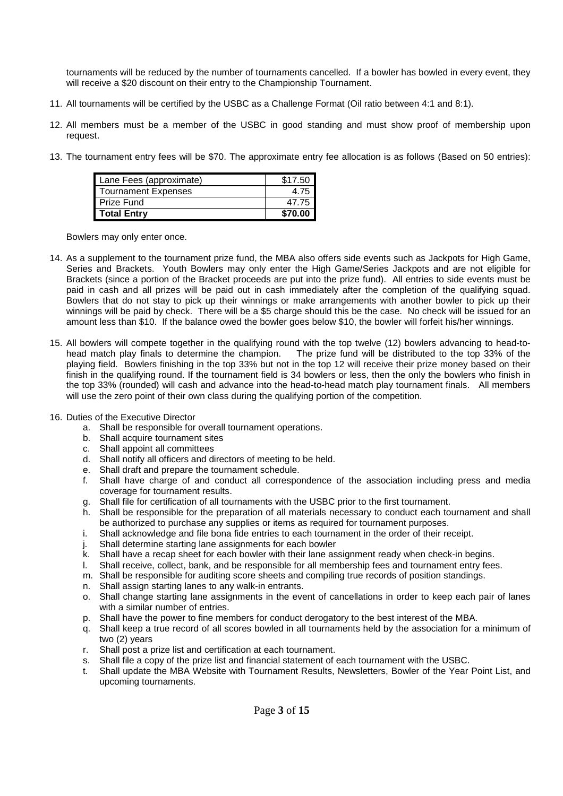tournaments will be reduced by the number of tournaments cancelled. If a bowler has bowled in every event, they will receive a \$20 discount on their entry to the Championship Tournament.

- 11. All tournaments will be certified by the USBC as a Challenge Format (Oil ratio between 4:1 and 8:1).
- 12. All members must be a member of the USBC in good standing and must show proof of membership upon request.
- 13. The tournament entry fees will be \$70. The approximate entry fee allocation is as follows (Based on 50 entries):

| Lane Fees (approximate)    | \$17.50 |
|----------------------------|---------|
| <b>Tournament Expenses</b> | 4.75    |
| Prize Fund                 | 47.75   |
| <b>Total Entry</b>         | \$70.00 |

Bowlers may only enter once.

- 14. As a supplement to the tournament prize fund, the MBA also offers side events such as Jackpots for High Game, Series and Brackets. Youth Bowlers may only enter the High Game/Series Jackpots and are not eligible for Brackets (since a portion of the Bracket proceeds are put into the prize fund). All entries to side events must be paid in cash and all prizes will be paid out in cash immediately after the completion of the qualifying squad. Bowlers that do not stay to pick up their winnings or make arrangements with another bowler to pick up their winnings will be paid by check. There will be a \$5 charge should this be the case. No check will be issued for an amount less than \$10. If the balance owed the bowler goes below \$10, the bowler will forfeit his/her winnings.
- 15. All bowlers will compete together in the qualifying round with the top twelve (12) bowlers advancing to head-tohead match play finals to determine the champion. The prize fund will be distributed to the top 33% of the playing field. Bowlers finishing in the top 33% but not in the top 12 will receive their prize money based on their finish in the qualifying round. If the tournament field is 34 bowlers or less, then the only the bowlers who finish in the top 33% (rounded) will cash and advance into the head-to-head match play tournament finals. All members will use the zero point of their own class during the qualifying portion of the competition.
- 16. Duties of the Executive Director
	- a. Shall be responsible for overall tournament operations.
	- b. Shall acquire tournament sites
	- c. Shall appoint all committees
	- d. Shall notify all officers and directors of meeting to be held.
	- e. Shall draft and prepare the tournament schedule.
	- f. Shall have charge of and conduct all correspondence of the association including press and media coverage for tournament results.
	- g. Shall file for certification of all tournaments with the USBC prior to the first tournament.
	- h. Shall be responsible for the preparation of all materials necessary to conduct each tournament and shall be authorized to purchase any supplies or items as required for tournament purposes.
	- i. Shall acknowledge and file bona fide entries to each tournament in the order of their receipt.
	- j. Shall determine starting lane assignments for each bowler
	- k. Shall have a recap sheet for each bowler with their lane assignment ready when check-in begins.
	- l. Shall receive, collect, bank, and be responsible for all membership fees and tournament entry fees.
	- m. Shall be responsible for auditing score sheets and compiling true records of position standings.
	- n. Shall assign starting lanes to any walk-in entrants.
	- o. Shall change starting lane assignments in the event of cancellations in order to keep each pair of lanes with a similar number of entries.
	- p. Shall have the power to fine members for conduct derogatory to the best interest of the MBA.
	- q. Shall keep a true record of all scores bowled in all tournaments held by the association for a minimum of two (2) years
	- r. Shall post a prize list and certification at each tournament.
	- s. Shall file a copy of the prize list and financial statement of each tournament with the USBC.
	- t. Shall update the MBA Website with Tournament Results, Newsletters, Bowler of the Year Point List, and upcoming tournaments.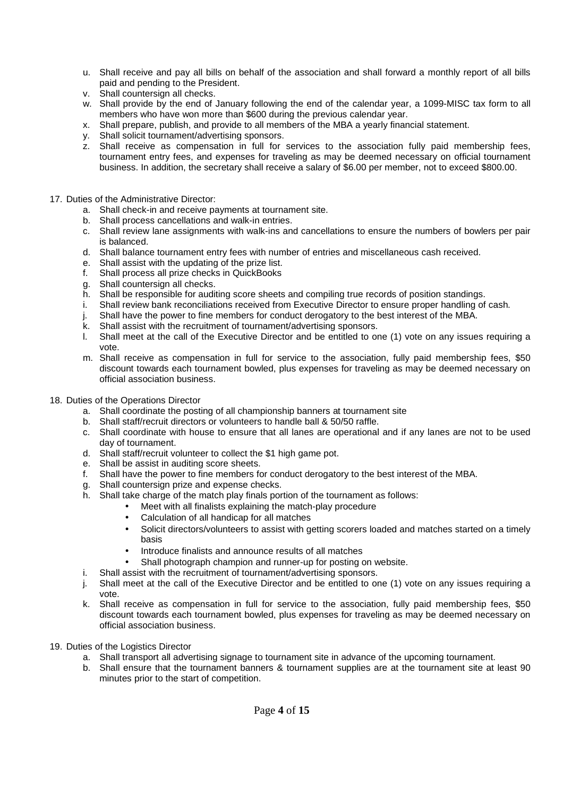- u. Shall receive and pay all bills on behalf of the association and shall forward a monthly report of all bills paid and pending to the President.
- v. Shall countersign all checks.
- w. Shall provide by the end of January following the end of the calendar year, a 1099-MISC tax form to all members who have won more than \$600 during the previous calendar year.
- x. Shall prepare, publish, and provide to all members of the MBA a yearly financial statement.
- y. Shall solicit tournament/advertising sponsors.
- z. Shall receive as compensation in full for services to the association fully paid membership fees, tournament entry fees, and expenses for traveling as may be deemed necessary on official tournament business. In addition, the secretary shall receive a salary of \$6.00 per member, not to exceed \$800.00.
- 17. Duties of the Administrative Director:
	- a. Shall check-in and receive payments at tournament site.
	- b. Shall process cancellations and walk-in entries.
	- c. Shall review lane assignments with walk-ins and cancellations to ensure the numbers of bowlers per pair is balanced.
	- d. Shall balance tournament entry fees with number of entries and miscellaneous cash received.
	- e. Shall assist with the updating of the prize list.
	- f. Shall process all prize checks in QuickBooks
	- g. Shall countersign all checks.
	- h. Shall be responsible for auditing score sheets and compiling true records of position standings.
	- i. Shall review bank reconciliations received from Executive Director to ensure proper handling of cash.
	- j. Shall have the power to fine members for conduct derogatory to the best interest of the MBA.
	- k. Shall assist with the recruitment of tournament/advertising sponsors.
	- l. Shall meet at the call of the Executive Director and be entitled to one (1) vote on any issues requiring a vote.
	- m. Shall receive as compensation in full for service to the association, fully paid membership fees, \$50 discount towards each tournament bowled, plus expenses for traveling as may be deemed necessary on official association business.
- 18. Duties of the Operations Director
	- a. Shall coordinate the posting of all championship banners at tournament site
	- b. Shall staff/recruit directors or volunteers to handle ball & 50/50 raffle.
	- c. Shall coordinate with house to ensure that all lanes are operational and if any lanes are not to be used day of tournament.
	- d. Shall staff/recruit volunteer to collect the \$1 high game pot.
	- e. Shall be assist in auditing score sheets.
	- f. Shall have the power to fine members for conduct derogatory to the best interest of the MBA.
	- g. Shall countersign prize and expense checks.
	- h. Shall take charge of the match play finals portion of the tournament as follows:
		- Meet with all finalists explaining the match-play procedure
			- Calculation of all handicap for all matches
			- Solicit directors/volunteers to assist with getting scorers loaded and matches started on a timely basis
			- Introduce finalists and announce results of all matches
			- Shall photograph champion and runner-up for posting on website.
	- i. Shall assist with the recruitment of tournament/advertising sponsors.
	- j. Shall meet at the call of the Executive Director and be entitled to one (1) vote on any issues requiring a vote.
	- k. Shall receive as compensation in full for service to the association, fully paid membership fees, \$50 discount towards each tournament bowled, plus expenses for traveling as may be deemed necessary on official association business.
- 19. Duties of the Logistics Director
	- a. Shall transport all advertising signage to tournament site in advance of the upcoming tournament.
	- b. Shall ensure that the tournament banners & tournament supplies are at the tournament site at least 90 minutes prior to the start of competition.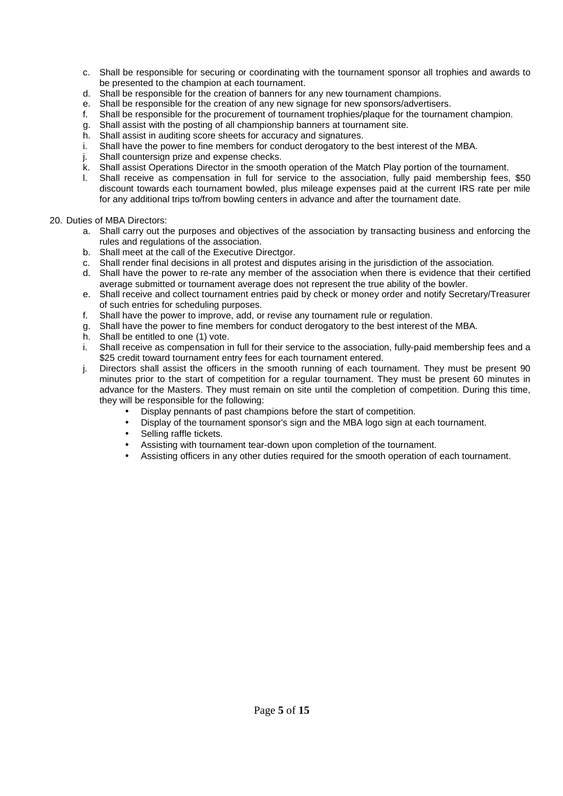- c. Shall be responsible for securing or coordinating with the tournament sponsor all trophies and awards to be presented to the champion at each tournament.
- d. Shall be responsible for the creation of banners for any new tournament champions.
- e. Shall be responsible for the creation of any new signage for new sponsors/advertisers.
- f. Shall be responsible for the procurement of tournament trophies/plaque for the tournament champion.
- g. Shall assist with the posting of all championship banners at tournament site.
- h. Shall assist in auditing score sheets for accuracy and signatures.
- i. Shall have the power to fine members for conduct derogatory to the best interest of the MBA.
- j. Shall countersign prize and expense checks.
- k. Shall assist Operations Director in the smooth operation of the Match Play portion of the tournament.
- l. Shall receive as compensation in full for service to the association, fully paid membership fees, \$50 discount towards each tournament bowled, plus mileage expenses paid at the current IRS rate per mile for any additional trips to/from bowling centers in advance and after the tournament date.

#### 20. Duties of MBA Directors:

- a. Shall carry out the purposes and objectives of the association by transacting business and enforcing the rules and regulations of the association.
- b. Shall meet at the call of the Executive Directgor.
- c. Shall render final decisions in all protest and disputes arising in the jurisdiction of the association.
- d. Shall have the power to re-rate any member of the association when there is evidence that their certified average submitted or tournament average does not represent the true ability of the bowler.
- e. Shall receive and collect tournament entries paid by check or money order and notify Secretary/Treasurer of such entries for scheduling purposes.
- f. Shall have the power to improve, add, or revise any tournament rule or regulation.
- g. Shall have the power to fine members for conduct derogatory to the best interest of the MBA.
- h. Shall be entitled to one (1) vote.
- i. Shall receive as compensation in full for their service to the association, fully-paid membership fees and a \$25 credit toward tournament entry fees for each tournament entered.
- j. Directors shall assist the officers in the smooth running of each tournament. They must be present 90 minutes prior to the start of competition for a regular tournament. They must be present 60 minutes in advance for the Masters. They must remain on site until the completion of competition. During this time, they will be responsible for the following:
	- Display pennants of past champions before the start of competition.
	- Display of the tournament sponsor's sign and the MBA logo sign at each tournament.
	- Selling raffle tickets.
	- Assisting with tournament tear-down upon completion of the tournament.
	- Assisting officers in any other duties required for the smooth operation of each tournament.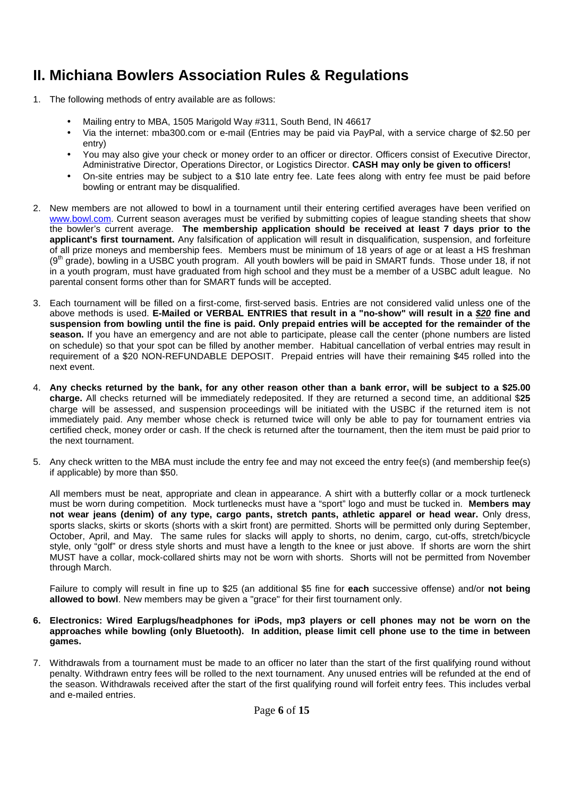### **II. Michiana Bowlers Association Rules & Regulations**

- 1. The following methods of entry available are as follows:
	- Mailing entry to MBA, 1505 Marigold Way #311, South Bend, IN 46617
	- Via the internet: mba300.com or e-mail (Entries may be paid via PayPal, with a service charge of \$2.50 per entry)
	- You may also give your check or money order to an officer or director. Officers consist of Executive Director, Administrative Director, Operations Director, or Logistics Director. **CASH may only be given to officers!**
	- On-site entries may be subject to a \$10 late entry fee. Late fees along with entry fee must be paid before bowling or entrant may be disqualified.
- 2. New members are not allowed to bowl in a tournament until their entering certified averages have been verified on www.bowl.com. Current season averages must be verified by submitting copies of league standing sheets that show the bowler's current average. **The membership application should be received at least 7 days prior to the applicant's first tournament.** Any falsification of application will result in disqualification, suspension, and forfeiture of all prize moneys and membership fees. Members must be minimum of 18 years of age or at least a HS freshman  $(9<sup>th</sup> grade)$ , bowling in a USBC youth program. All youth bowlers will be paid in SMART funds. Those under 18, if not in a youth program, must have graduated from high school and they must be a member of a USBC adult league. No parental consent forms other than for SMART funds will be accepted.
- 3. Each tournament will be filled on a first-come, first-served basis. Entries are not considered valid unless one of the above methods is used. **E-Mailed or VERBAL ENTRIES that result in a "no-show" will result in a \$20 fine and suspension from bowling until the fine is paid. Only prepaid entries will be accepted for the remainder of the season.** If you have an emergency and are not able to participate, please call the center (phone numbers are listed on schedule) so that your spot can be filled by another member. Habitual cancellation of verbal entries may result in requirement of a \$20 NON-REFUNDABLE DEPOSIT. Prepaid entries will have their remaining \$45 rolled into the next event.
- 4. **Any checks returned by the bank, for any other reason other than a bank error, will be subject to a \$25.00 charge.** All checks returned will be immediately redeposited. If they are returned a second time, an additional \$**25** charge will be assessed, and suspension proceedings will be initiated with the USBC if the returned item is not immediately paid. Any member whose check is returned twice will only be able to pay for tournament entries via certified check, money order or cash. If the check is returned after the tournament, then the item must be paid prior to the next tournament.
- 5. Any check written to the MBA must include the entry fee and may not exceed the entry fee(s) (and membership fee(s) if applicable) by more than \$50.

All members must be neat, appropriate and clean in appearance. A shirt with a butterfly collar or a mock turtleneck must be worn during competition. Mock turtlenecks must have a "sport" logo and must be tucked in. **Members may not wear jeans (denim) of any type, cargo pants, stretch pants, athletic apparel or head wear.** Only dress, sports slacks, skirts or skorts (shorts with a skirt front) are permitted. Shorts will be permitted only during September, October, April, and May. The same rules for slacks will apply to shorts, no denim, cargo, cut-offs, stretch/bicycle style, only "golf" or dress style shorts and must have a length to the knee or just above. If shorts are worn the shirt MUST have a collar, mock-collared shirts may not be worn with shorts. Shorts will not be permitted from November through March.

Failure to comply will result in fine up to \$25 (an additional \$5 fine for **each** successive offense) and/or **not being allowed to bowl**. New members may be given a "grace" for their first tournament only.

#### **6. Electronics: Wired Earplugs/headphones for iPods, mp3 players or cell phones may not be worn on the approaches while bowling (only Bluetooth). In addition, please limit cell phone use to the time in between games.**

7. Withdrawals from a tournament must be made to an officer no later than the start of the first qualifying round without penalty. Withdrawn entry fees will be rolled to the next tournament. Any unused entries will be refunded at the end of the season. Withdrawals received after the start of the first qualifying round will forfeit entry fees. This includes verbal and e-mailed entries.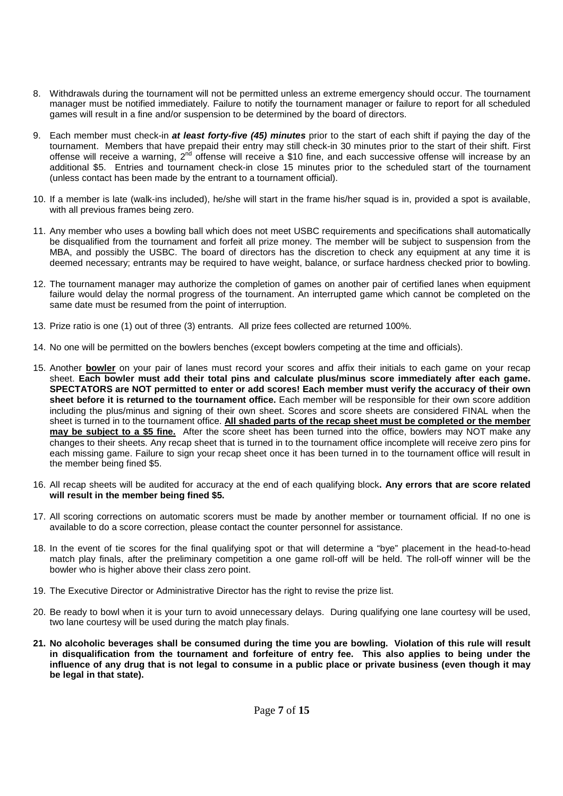- 8. Withdrawals during the tournament will not be permitted unless an extreme emergency should occur. The tournament manager must be notified immediately. Failure to notify the tournament manager or failure to report for all scheduled games will result in a fine and/or suspension to be determined by the board of directors.
- 9. Each member must check-in **at least forty-five (45) minutes** prior to the start of each shift if paying the day of the tournament. Members that have prepaid their entry may still check-in 30 minutes prior to the start of their shift. First offense will receive a warning, 2nd offense will receive a \$10 fine, and each successive offense will increase by an additional \$5. Entries and tournament check-in close 15 minutes prior to the scheduled start of the tournament (unless contact has been made by the entrant to a tournament official).
- 10. If a member is late (walk-ins included), he/she will start in the frame his/her squad is in, provided a spot is available, with all previous frames being zero.
- 11. Any member who uses a bowling ball which does not meet USBC requirements and specifications shall automatically be disqualified from the tournament and forfeit all prize money. The member will be subject to suspension from the MBA, and possibly the USBC. The board of directors has the discretion to check any equipment at any time it is deemed necessary; entrants may be required to have weight, balance, or surface hardness checked prior to bowling.
- 12. The tournament manager may authorize the completion of games on another pair of certified lanes when equipment failure would delay the normal progress of the tournament. An interrupted game which cannot be completed on the same date must be resumed from the point of interruption.
- 13. Prize ratio is one (1) out of three (3) entrants. All prize fees collected are returned 100%.
- 14. No one will be permitted on the bowlers benches (except bowlers competing at the time and officials).
- 15. Another **bowler** on your pair of lanes must record your scores and affix their initials to each game on your recap sheet. **Each bowler must add their total pins and calculate plus/minus score immediately after each game. SPECTATORS are NOT permitted to enter or add scores! Each member must verify the accuracy of their own sheet before it is returned to the tournament office.** Each member will be responsible for their own score addition including the plus/minus and signing of their own sheet. Scores and score sheets are considered FINAL when the sheet is turned in to the tournament office. **All shaded parts of the recap sheet must be completed or the member may be subject to a \$5 fine.** After the score sheet has been turned into the office, bowlers may NOT make any changes to their sheets. Any recap sheet that is turned in to the tournament office incomplete will receive zero pins for each missing game. Failure to sign your recap sheet once it has been turned in to the tournament office will result in the member being fined \$5.
- 16. All recap sheets will be audited for accuracy at the end of each qualifying block**. Any errors that are score related will result in the member being fined \$5.**
- 17. All scoring corrections on automatic scorers must be made by another member or tournament official. If no one is available to do a score correction, please contact the counter personnel for assistance.
- 18. In the event of tie scores for the final qualifying spot or that will determine a "bye" placement in the head-to-head match play finals, after the preliminary competition a one game roll-off will be held. The roll-off winner will be the bowler who is higher above their class zero point.
- 19. The Executive Director or Administrative Director has the right to revise the prize list.
- 20. Be ready to bowl when it is your turn to avoid unnecessary delays. During qualifying one lane courtesy will be used, two lane courtesy will be used during the match play finals.
- **21. No alcoholic beverages shall be consumed during the time you are bowling. Violation of this rule will result in disqualification from the tournament and forfeiture of entry fee. This also applies to being under the influence of any drug that is not legal to consume in a public place or private business (even though it may be legal in that state).**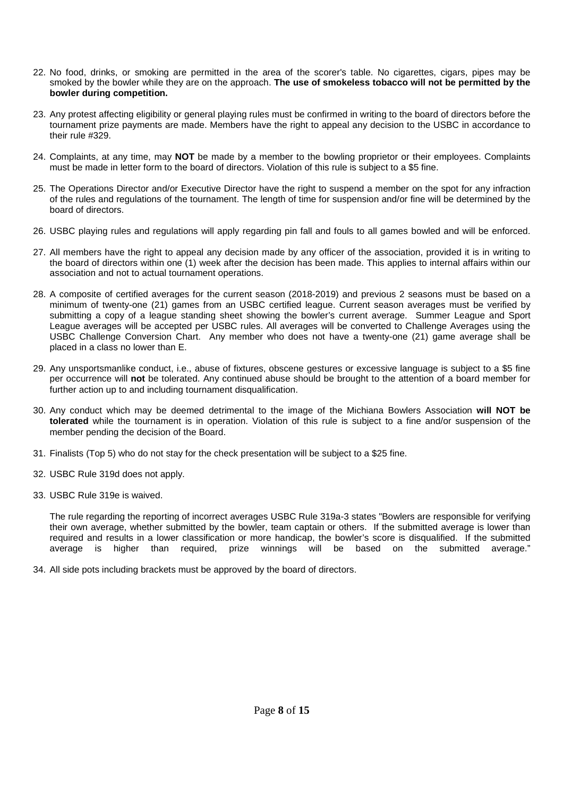- 22. No food, drinks, or smoking are permitted in the area of the scorer's table. No cigarettes, cigars, pipes may be smoked by the bowler while they are on the approach. **The use of smokeless tobacco will not be permitted by the bowler during competition.**
- 23. Any protest affecting eligibility or general playing rules must be confirmed in writing to the board of directors before the tournament prize payments are made. Members have the right to appeal any decision to the USBC in accordance to their rule #329.
- 24. Complaints, at any time, may **NOT** be made by a member to the bowling proprietor or their employees. Complaints must be made in letter form to the board of directors. Violation of this rule is subject to a \$5 fine.
- 25. The Operations Director and/or Executive Director have the right to suspend a member on the spot for any infraction of the rules and regulations of the tournament. The length of time for suspension and/or fine will be determined by the board of directors.
- 26. USBC playing rules and regulations will apply regarding pin fall and fouls to all games bowled and will be enforced.
- 27. All members have the right to appeal any decision made by any officer of the association, provided it is in writing to the board of directors within one (1) week after the decision has been made. This applies to internal affairs within our association and not to actual tournament operations.
- 28. A composite of certified averages for the current season (2018-2019) and previous 2 seasons must be based on a minimum of twenty-one (21) games from an USBC certified league. Current season averages must be verified by submitting a copy of a league standing sheet showing the bowler's current average. Summer League and Sport League averages will be accepted per USBC rules. All averages will be converted to Challenge Averages using the USBC Challenge Conversion Chart. Any member who does not have a twenty-one (21) game average shall be placed in a class no lower than E.
- 29. Any unsportsmanlike conduct, i.e., abuse of fixtures, obscene gestures or excessive language is subject to a \$5 fine per occurrence will **not** be tolerated. Any continued abuse should be brought to the attention of a board member for further action up to and including tournament disqualification.
- 30. Any conduct which may be deemed detrimental to the image of the Michiana Bowlers Association **will NOT be tolerated** while the tournament is in operation. Violation of this rule is subject to a fine and/or suspension of the member pending the decision of the Board.
- 31. Finalists (Top 5) who do not stay for the check presentation will be subject to a \$25 fine.
- 32. USBC Rule 319d does not apply.
- 33. USBC Rule 319e is waived.

The rule regarding the reporting of incorrect averages USBC Rule 319a-3 states "Bowlers are responsible for verifying their own average, whether submitted by the bowler, team captain or others. If the submitted average is lower than required and results in a lower classification or more handicap, the bowler's score is disqualified. If the submitted average is higher than required, prize winnings will be based on the submitted average."

34. All side pots including brackets must be approved by the board of directors.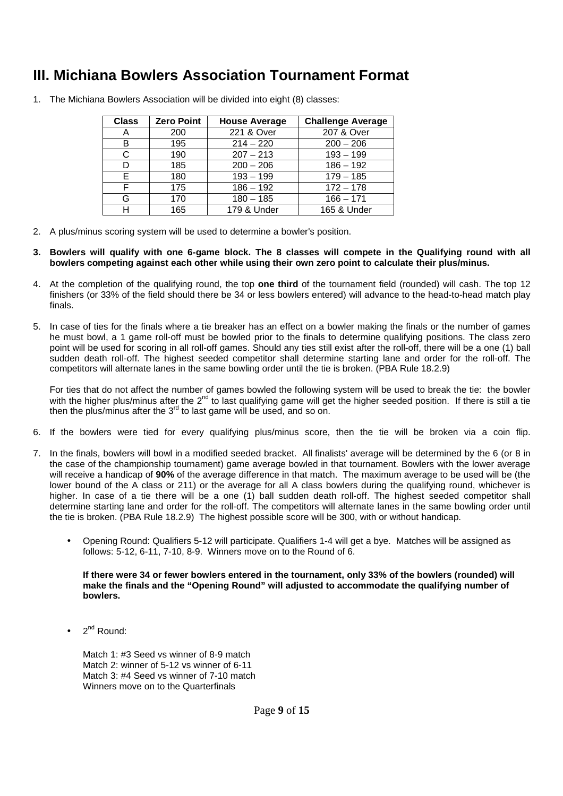### **III. Michiana Bowlers Association Tournament Format**

| <b>Class</b> | <b>Zero Point</b> | <b>House Average</b> | <b>Challenge Average</b> |
|--------------|-------------------|----------------------|--------------------------|
| A            | 200               | 221 & Over           | 207 & Over               |
| В            | 195               | $214 - 220$          | $200 - 206$              |
| C            | 190               | $207 - 213$          | $193 - 199$              |
| D            | 185               | $200 - 206$          | $186 - 192$              |
| Е            | 180               | $193 - 199$          | $179 - 185$              |
| F            | 175               | $186 - 192$          | $172 - 178$              |
| G            | 170               | $180 - 185$          | $166 - 171$              |
| н            | 165               | 179 & Under          | 165 & Under              |

1. The Michiana Bowlers Association will be divided into eight (8) classes:

- 2. A plus/minus scoring system will be used to determine a bowler's position.
- **3. Bowlers will qualify with one 6-game block. The 8 classes will compete in the Qualifying round with all bowlers competing against each other while using their own zero point to calculate their plus/minus.**
- 4. At the completion of the qualifying round, the top **one third** of the tournament field (rounded) will cash. The top 12 finishers (or 33% of the field should there be 34 or less bowlers entered) will advance to the head-to-head match play finals.
- 5. In case of ties for the finals where a tie breaker has an effect on a bowler making the finals or the number of games he must bowl, a 1 game roll-off must be bowled prior to the finals to determine qualifying positions. The class zero point will be used for scoring in all roll-off games. Should any ties still exist after the roll-off, there will be a one (1) ball sudden death roll-off. The highest seeded competitor shall determine starting lane and order for the roll-off. The competitors will alternate lanes in the same bowling order until the tie is broken. (PBA Rule 18.2.9)

For ties that do not affect the number of games bowled the following system will be used to break the tie: the bowler with the higher plus/minus after the 2<sup>nd</sup> to last qualifying game will get the higher seeded position. If there is still a tie then the plus/minus after the  $3<sup>rd</sup>$  to last game will be used, and so on.

- 6. If the bowlers were tied for every qualifying plus/minus score, then the tie will be broken via a coin flip.
- 7. In the finals, bowlers will bowl in a modified seeded bracket. All finalists' average will be determined by the 6 (or 8 in the case of the championship tournament) game average bowled in that tournament. Bowlers with the lower average will receive a handicap of **90%** of the average difference in that match. The maximum average to be used will be (the lower bound of the A class or 211) or the average for all A class bowlers during the qualifying round, whichever is higher. In case of a tie there will be a one (1) ball sudden death roll-off. The highest seeded competitor shall determine starting lane and order for the roll-off. The competitors will alternate lanes in the same bowling order until the tie is broken. (PBA Rule 18.2.9) The highest possible score will be 300, with or without handicap.
	- Opening Round: Qualifiers 5-12 will participate. Qualifiers 1-4 will get a bye. Matches will be assigned as follows: 5-12, 6-11, 7-10, 8-9. Winners move on to the Round of 6.

**If there were 34 or fewer bowlers entered in the tournament, only 33% of the bowlers (rounded) will make the finals and the "Opening Round" will adjusted to accommodate the qualifying number of bowlers.** 

2<sup>nd</sup> Round:

Match 1: #3 Seed vs winner of 8-9 match Match 2: winner of 5-12 vs winner of 6-11 Match 3: #4 Seed vs winner of 7-10 match Winners move on to the Quarterfinals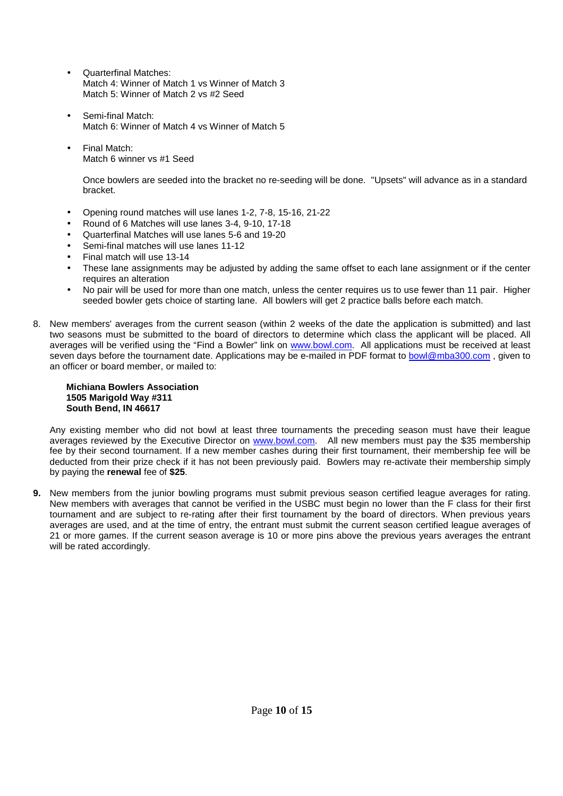- Quarterfinal Matches: Match 4: Winner of Match 1 vs Winner of Match 3 Match 5: Winner of Match 2 vs #2 Seed
- Semi-final Match: Match 6: Winner of Match 4 vs Winner of Match 5
- Final Match: Match 6 winner vs #1 Seed

Once bowlers are seeded into the bracket no re-seeding will be done. "Upsets" will advance as in a standard bracket.

- Opening round matches will use lanes 1-2, 7-8, 15-16, 21-22
- Round of 6 Matches will use lanes 3-4, 9-10, 17-18
- Quarterfinal Matches will use lanes 5-6 and 19-20
- Semi-final matches will use lanes 11-12
- Final match will use 13-14
- These lane assignments may be adjusted by adding the same offset to each lane assignment or if the center requires an alteration
- No pair will be used for more than one match, unless the center requires us to use fewer than 11 pair. Higher seeded bowler gets choice of starting lane. All bowlers will get 2 practice balls before each match.
- 8. New members' averages from the current season (within 2 weeks of the date the application is submitted) and last two seasons must be submitted to the board of directors to determine which class the applicant will be placed. All averages will be verified using the "Find a Bowler" link on www.bowl.com. All applications must be received at least seven days before the tournament date. Applications may be e-mailed in PDF format to bowl@mba300.com, given to an officer or board member, or mailed to:

#### **Michiana Bowlers Association 1505 Marigold Way #311 South Bend, IN 46617**

Any existing member who did not bowl at least three tournaments the preceding season must have their league averages reviewed by the Executive Director on www.bowl.com. All new members must pay the \$35 membership fee by their second tournament. If a new member cashes during their first tournament, their membership fee will be deducted from their prize check if it has not been previously paid. Bowlers may re-activate their membership simply by paying the **renewal** fee of **\$25**.

**9.** New members from the junior bowling programs must submit previous season certified league averages for rating. New members with averages that cannot be verified in the USBC must begin no lower than the F class for their first tournament and are subject to re-rating after their first tournament by the board of directors. When previous years averages are used, and at the time of entry, the entrant must submit the current season certified league averages of 21 or more games. If the current season average is 10 or more pins above the previous years averages the entrant will be rated accordingly.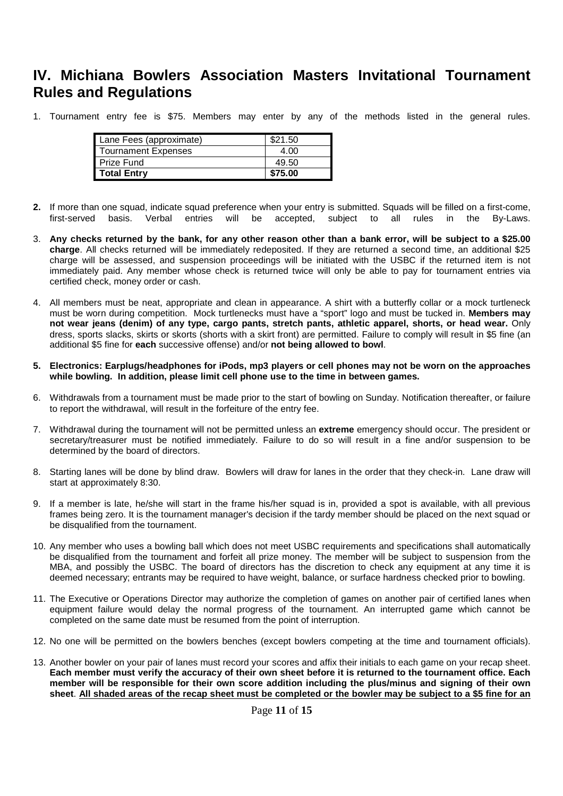### **IV. Michiana Bowlers Association Masters Invitational Tournament Rules and Regulations**

1. Tournament entry fee is \$75. Members may enter by any of the methods listed in the general rules.

| Lane Fees (approximate) | \$21.50 |
|-------------------------|---------|
| Tournament Expenses     | 4.00    |
| <b>Prize Fund</b>       | 49.50   |
| <b>Total Entrv</b>      | \$75.00 |

- **2.** If more than one squad, indicate squad preference when your entry is submitted. Squads will be filled on a first-come, first-served basis. Verbal entries will be accepted, subject to all rules in the By-Laws.
- 3. **Any checks returned by the bank, for any other reason other than a bank error, will be subject to a \$25.00 charge**. All checks returned will be immediately redeposited. If they are returned a second time, an additional \$25 charge will be assessed, and suspension proceedings will be initiated with the USBC if the returned item is not immediately paid. Any member whose check is returned twice will only be able to pay for tournament entries via certified check, money order or cash.
- 4. All members must be neat, appropriate and clean in appearance. A shirt with a butterfly collar or a mock turtleneck must be worn during competition. Mock turtlenecks must have a "sport" logo and must be tucked in. **Members may not wear jeans (denim) of any type, cargo pants, stretch pants, athletic apparel, shorts, or head wear.** Only dress, sports slacks, skirts or skorts (shorts with a skirt front) are permitted. Failure to comply will result in \$5 fine (an additional \$5 fine for **each** successive offense) and/or **not being allowed to bowl**.
- **5. Electronics: Earplugs/headphones for iPods, mp3 players or cell phones may not be worn on the approaches while bowling. In addition, please limit cell phone use to the time in between games.**
- 6. Withdrawals from a tournament must be made prior to the start of bowling on Sunday. Notification thereafter, or failure to report the withdrawal, will result in the forfeiture of the entry fee.
- 7. Withdrawal during the tournament will not be permitted unless an **extreme** emergency should occur. The president or secretary/treasurer must be notified immediately. Failure to do so will result in a fine and/or suspension to be determined by the board of directors.
- 8. Starting lanes will be done by blind draw. Bowlers will draw for lanes in the order that they check-in. Lane draw will start at approximately 8:30.
- 9. If a member is late, he/she will start in the frame his/her squad is in, provided a spot is available, with all previous frames being zero. It is the tournament manager's decision if the tardy member should be placed on the next squad or be disqualified from the tournament.
- 10. Any member who uses a bowling ball which does not meet USBC requirements and specifications shall automatically be disqualified from the tournament and forfeit all prize money. The member will be subject to suspension from the MBA, and possibly the USBC. The board of directors has the discretion to check any equipment at any time it is deemed necessary; entrants may be required to have weight, balance, or surface hardness checked prior to bowling.
- 11. The Executive or Operations Director may authorize the completion of games on another pair of certified lanes when equipment failure would delay the normal progress of the tournament. An interrupted game which cannot be completed on the same date must be resumed from the point of interruption.
- 12. No one will be permitted on the bowlers benches (except bowlers competing at the time and tournament officials).
- 13. Another bowler on your pair of lanes must record your scores and affix their initials to each game on your recap sheet. **Each member must verify the accuracy of their own sheet before it is returned to the tournament office. Each member will be responsible for their own score addition including the plus/minus and signing of their own sheet**. **All shaded areas of the recap sheet must be completed or the bowler may be subject to a \$5 fine for an**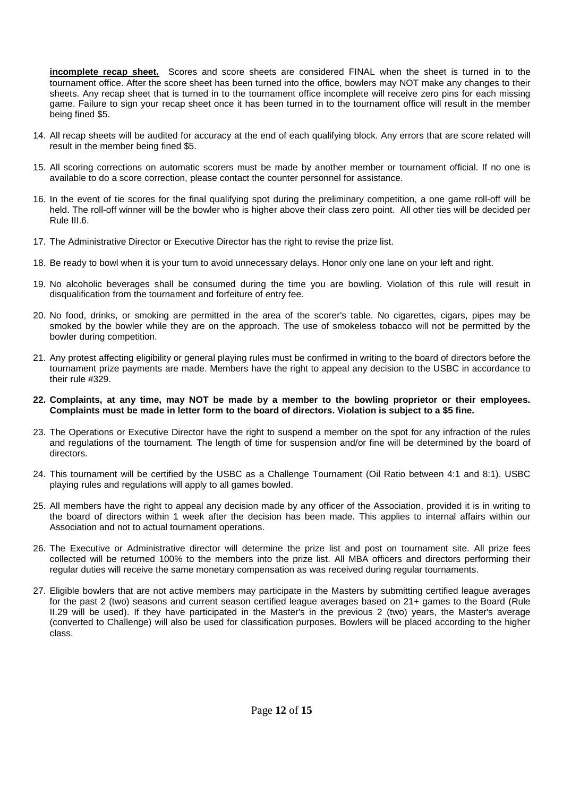**incomplete recap sheet.** Scores and score sheets are considered FINAL when the sheet is turned in to the tournament office. After the score sheet has been turned into the office, bowlers may NOT make any changes to their sheets. Any recap sheet that is turned in to the tournament office incomplete will receive zero pins for each missing game. Failure to sign your recap sheet once it has been turned in to the tournament office will result in the member being fined \$5.

- 14. All recap sheets will be audited for accuracy at the end of each qualifying block. Any errors that are score related will result in the member being fined \$5.
- 15. All scoring corrections on automatic scorers must be made by another member or tournament official. If no one is available to do a score correction, please contact the counter personnel for assistance.
- 16. In the event of tie scores for the final qualifying spot during the preliminary competition, a one game roll-off will be held. The roll-off winner will be the bowler who is higher above their class zero point. All other ties will be decided per Rule III.6.
- 17. The Administrative Director or Executive Director has the right to revise the prize list.
- 18. Be ready to bowl when it is your turn to avoid unnecessary delays. Honor only one lane on your left and right.
- 19. No alcoholic beverages shall be consumed during the time you are bowling. Violation of this rule will result in disqualification from the tournament and forfeiture of entry fee.
- 20. No food, drinks, or smoking are permitted in the area of the scorer's table. No cigarettes, cigars, pipes may be smoked by the bowler while they are on the approach. The use of smokeless tobacco will not be permitted by the bowler during competition.
- 21. Any protest affecting eligibility or general playing rules must be confirmed in writing to the board of directors before the tournament prize payments are made. Members have the right to appeal any decision to the USBC in accordance to their rule #329.
- **22. Complaints, at any time, may NOT be made by a member to the bowling proprietor or their employees. Complaints must be made in letter form to the board of directors. Violation is subject to a \$5 fine.**
- 23. The Operations or Executive Director have the right to suspend a member on the spot for any infraction of the rules and regulations of the tournament. The length of time for suspension and/or fine will be determined by the board of directors.
- 24. This tournament will be certified by the USBC as a Challenge Tournament (Oil Ratio between 4:1 and 8:1). USBC playing rules and regulations will apply to all games bowled.
- 25. All members have the right to appeal any decision made by any officer of the Association, provided it is in writing to the board of directors within 1 week after the decision has been made. This applies to internal affairs within our Association and not to actual tournament operations.
- 26. The Executive or Administrative director will determine the prize list and post on tournament site. All prize fees collected will be returned 100% to the members into the prize list. All MBA officers and directors performing their regular duties will receive the same monetary compensation as was received during regular tournaments.
- 27. Eligible bowlers that are not active members may participate in the Masters by submitting certified league averages for the past 2 (two) seasons and current season certified league averages based on 21+ games to the Board (Rule II.29 will be used). If they have participated in the Master's in the previous 2 (two) years, the Master's average (converted to Challenge) will also be used for classification purposes. Bowlers will be placed according to the higher class.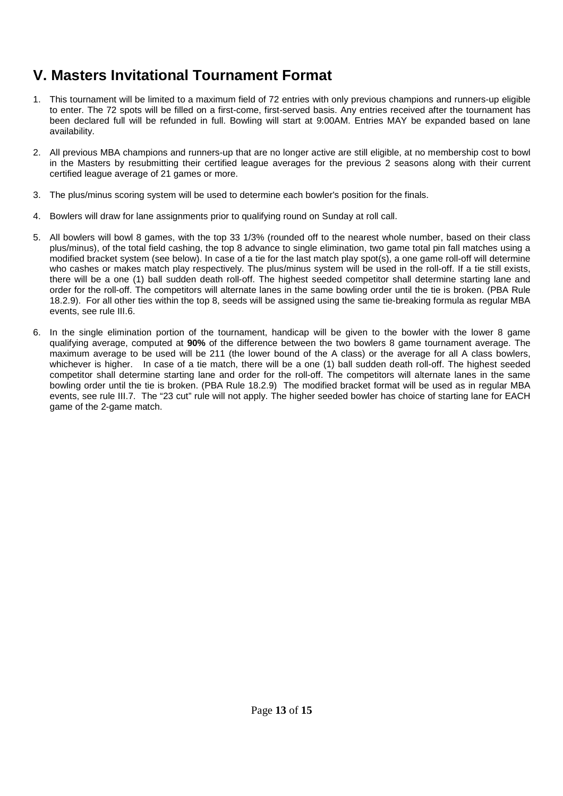## **V. Masters Invitational Tournament Format**

- 1. This tournament will be limited to a maximum field of 72 entries with only previous champions and runners-up eligible to enter. The 72 spots will be filled on a first-come, first-served basis. Any entries received after the tournament has been declared full will be refunded in full. Bowling will start at 9:00AM. Entries MAY be expanded based on lane availability.
- 2. All previous MBA champions and runners-up that are no longer active are still eligible, at no membership cost to bowl in the Masters by resubmitting their certified league averages for the previous 2 seasons along with their current certified league average of 21 games or more.
- 3. The plus/minus scoring system will be used to determine each bowler's position for the finals.
- 4. Bowlers will draw for lane assignments prior to qualifying round on Sunday at roll call.
- 5. All bowlers will bowl 8 games, with the top 33 1/3% (rounded off to the nearest whole number, based on their class plus/minus), of the total field cashing, the top 8 advance to single elimination, two game total pin fall matches using a modified bracket system (see below). In case of a tie for the last match play spot(s), a one game roll-off will determine who cashes or makes match play respectively. The plus/minus system will be used in the roll-off. If a tie still exists, there will be a one (1) ball sudden death roll-off. The highest seeded competitor shall determine starting lane and order for the roll-off. The competitors will alternate lanes in the same bowling order until the tie is broken. (PBA Rule 18.2.9). For all other ties within the top 8, seeds will be assigned using the same tie-breaking formula as regular MBA events, see rule III.6.
- 6. In the single elimination portion of the tournament, handicap will be given to the bowler with the lower 8 game qualifying average, computed at **90%** of the difference between the two bowlers 8 game tournament average. The maximum average to be used will be 211 (the lower bound of the A class) or the average for all A class bowlers, whichever is higher. In case of a tie match, there will be a one (1) ball sudden death roll-off. The highest seeded competitor shall determine starting lane and order for the roll-off. The competitors will alternate lanes in the same bowling order until the tie is broken. (PBA Rule 18.2.9) The modified bracket format will be used as in regular MBA events, see rule III.7. The "23 cut" rule will not apply. The higher seeded bowler has choice of starting lane for EACH game of the 2-game match.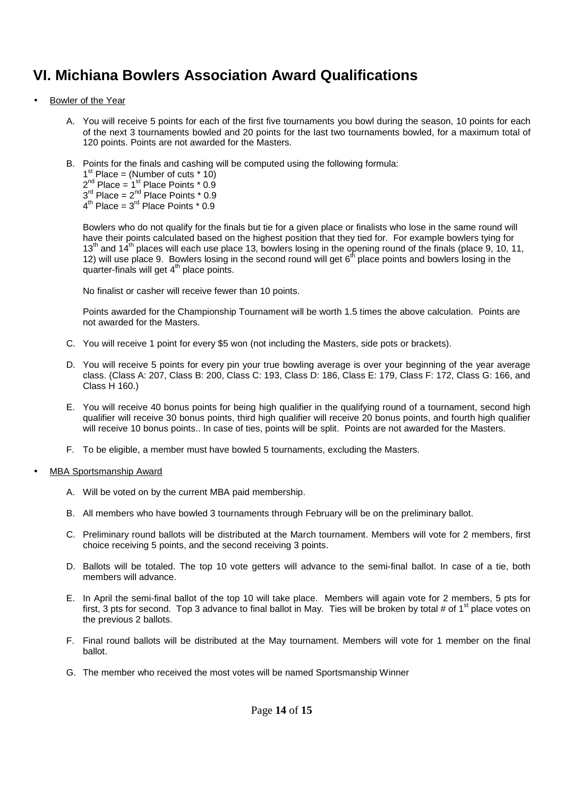## **VI. Michiana Bowlers Association Award Qualifications**

- Bowler of the Year
	- A. You will receive 5 points for each of the first five tournaments you bowl during the season, 10 points for each of the next 3 tournaments bowled and 20 points for the last two tournaments bowled, for a maximum total of 120 points. Points are not awarded for the Masters.
	- B. Points for the finals and cashing will be computed using the following formula:

1<sup>st</sup> Place = (Number of cuts  $*$  10)

 $2^{nd}$  Place =  $1^{st}$  Place Points  $*$  0.9

 $3<sup>rd</sup>$  Place =  $2<sup>nd</sup>$  Place Points  $*$  0.9

 $4^{\text{th}}$  Place =  $3^{\text{rd}}$  Place Points  $*$  0.9

Bowlers who do not qualify for the finals but tie for a given place or finalists who lose in the same round will have their points calculated based on the highest position that they tied for. For example bowlers tying for  $13<sup>th</sup>$  and  $14<sup>th</sup>$  places will each use place 13, bowlers losing in the opening round of the finals (place 9, 10, 11, 12) will use place 9. Bowlers losing in the second round will get 6<sup>th</sup> place points and bowlers losing in the quarter-finals will get  $4<sup>th</sup>$  place points.

No finalist or casher will receive fewer than 10 points.

Points awarded for the Championship Tournament will be worth 1.5 times the above calculation. Points are not awarded for the Masters.

- C. You will receive 1 point for every \$5 won (not including the Masters, side pots or brackets).
- D. You will receive 5 points for every pin your true bowling average is over your beginning of the year average class. (Class A: 207, Class B: 200, Class C: 193, Class D: 186, Class E: 179, Class F: 172, Class G: 166, and Class H 160.)
- E. You will receive 40 bonus points for being high qualifier in the qualifying round of a tournament, second high qualifier will receive 30 bonus points, third high qualifier will receive 20 bonus points, and fourth high qualifier will receive 10 bonus points.. In case of ties, points will be split. Points are not awarded for the Masters.
- F. To be eligible, a member must have bowled 5 tournaments, excluding the Masters.
- MBA Sportsmanship Award
	- A. Will be voted on by the current MBA paid membership.
	- B. All members who have bowled 3 tournaments through February will be on the preliminary ballot.
	- C. Preliminary round ballots will be distributed at the March tournament. Members will vote for 2 members, first choice receiving 5 points, and the second receiving 3 points.
	- D. Ballots will be totaled. The top 10 vote getters will advance to the semi-final ballot. In case of a tie, both members will advance.
	- E. In April the semi-final ballot of the top 10 will take place. Members will again vote for 2 members, 5 pts for first, 3 pts for second. Top 3 advance to final ballot in May. Ties will be broken by total # of  $1<sup>st</sup>$  place votes on the previous 2 ballots.
	- F. Final round ballots will be distributed at the May tournament. Members will vote for 1 member on the final ballot.
	- G. The member who received the most votes will be named Sportsmanship Winner